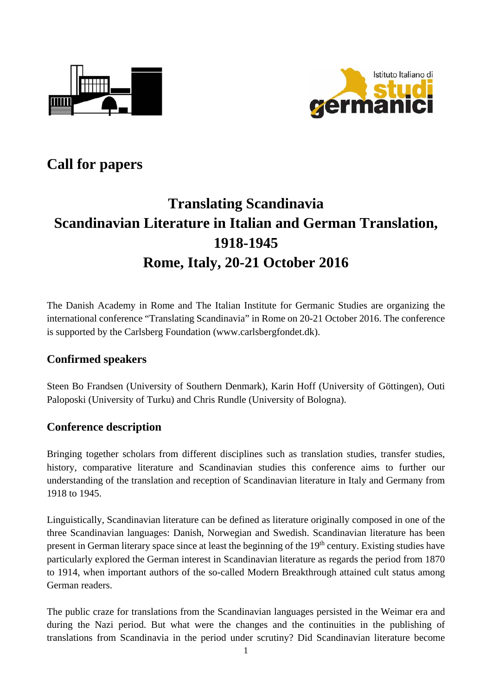



# **Call for papers**

# **Translating Scandinavia Scandinavian Literature in Italian and German Translation, 1918-1945 Rome, Italy, 20-21 October 2016**

The Danish Academy in Rome and The Italian Institute for Germanic Studies are organizing the international conference "Translating Scandinavia" in Rome on 20-21 October 2016. The conference is supported by the Carlsberg Foundation (www.carlsbergfondet.dk).

#### **Confirmed speakers**

Steen Bo Frandsen (University of Southern Denmark), Karin Hoff (University of Göttingen), Outi Paloposki (University of Turku) and Chris Rundle (University of Bologna).

#### **Conference description**

Bringing together scholars from different disciplines such as translation studies, transfer studies, history, comparative literature and Scandinavian studies this conference aims to further our understanding of the translation and reception of Scandinavian literature in Italy and Germany from 1918 to 1945.

Linguistically, Scandinavian literature can be defined as literature originally composed in one of the three Scandinavian languages: Danish, Norwegian and Swedish. Scandinavian literature has been present in German literary space since at least the beginning of the 19<sup>th</sup> century. Existing studies have particularly explored the German interest in Scandinavian literature as regards the period from 1870 to 1914, when important authors of the so-called Modern Breakthrough attained cult status among German readers.

The public craze for translations from the Scandinavian languages persisted in the Weimar era and during the Nazi period. But what were the changes and the continuities in the publishing of translations from Scandinavia in the period under scrutiny? Did Scandinavian literature become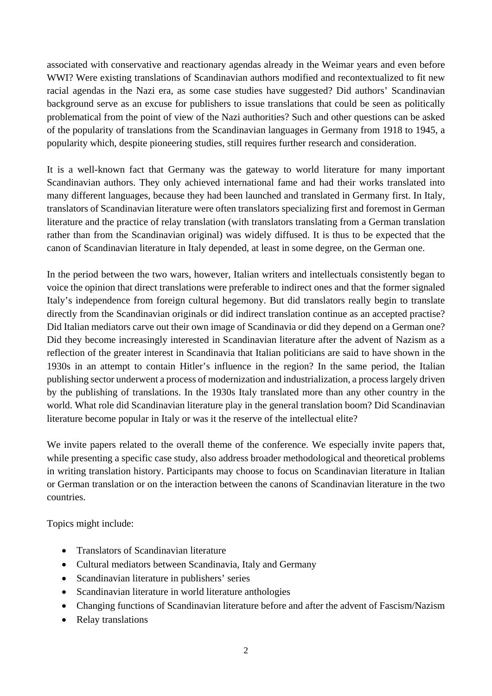associated with conservative and reactionary agendas already in the Weimar years and even before WWI? Were existing translations of Scandinavian authors modified and recontextualized to fit new racial agendas in the Nazi era, as some case studies have suggested? Did authors' Scandinavian background serve as an excuse for publishers to issue translations that could be seen as politically problematical from the point of view of the Nazi authorities? Such and other questions can be asked of the popularity of translations from the Scandinavian languages in Germany from 1918 to 1945, a popularity which, despite pioneering studies, still requires further research and consideration.

It is a well-known fact that Germany was the gateway to world literature for many important Scandinavian authors. They only achieved international fame and had their works translated into many different languages, because they had been launched and translated in Germany first. In Italy, translators of Scandinavian literature were often translators specializing first and foremost in German literature and the practice of relay translation (with translators translating from a German translation rather than from the Scandinavian original) was widely diffused. It is thus to be expected that the canon of Scandinavian literature in Italy depended, at least in some degree, on the German one.

In the period between the two wars, however, Italian writers and intellectuals consistently began to voice the opinion that direct translations were preferable to indirect ones and that the former signaled Italy's independence from foreign cultural hegemony. But did translators really begin to translate directly from the Scandinavian originals or did indirect translation continue as an accepted practise? Did Italian mediators carve out their own image of Scandinavia or did they depend on a German one? Did they become increasingly interested in Scandinavian literature after the advent of Nazism as a reflection of the greater interest in Scandinavia that Italian politicians are said to have shown in the 1930s in an attempt to contain Hitler's influence in the region? In the same period, the Italian publishing sector underwent a process of modernization and industrialization, a process largely driven by the publishing of translations. In the 1930s Italy translated more than any other country in the world. What role did Scandinavian literature play in the general translation boom? Did Scandinavian literature become popular in Italy or was it the reserve of the intellectual elite?

We invite papers related to the overall theme of the conference. We especially invite papers that, while presenting a specific case study, also address broader methodological and theoretical problems in writing translation history. Participants may choose to focus on Scandinavian literature in Italian or German translation or on the interaction between the canons of Scandinavian literature in the two countries.

Topics might include:

- Translators of Scandinavian literature
- Cultural mediators between Scandinavia, Italy and Germany
- Scandinavian literature in publishers' series
- Scandinavian literature in world literature anthologies
- Changing functions of Scandinavian literature before and after the advent of Fascism/Nazism
- Relay translations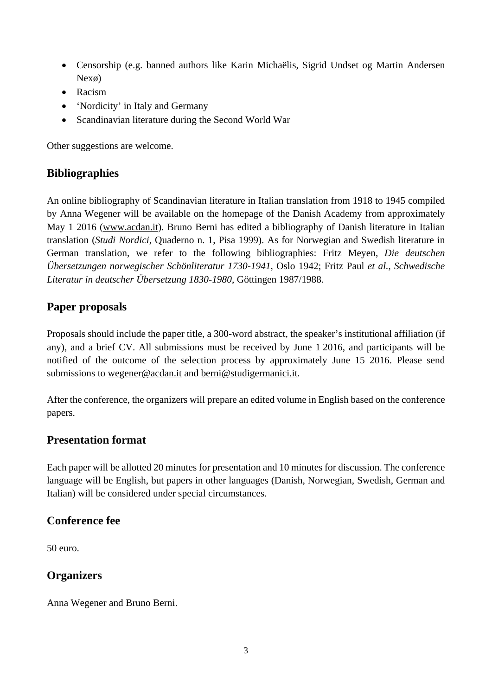- Censorship (e.g. banned authors like Karin Michaëlis, Sigrid Undset og Martin Andersen Nexø)
- Racism
- 'Nordicity' in Italy and Germany
- Scandinavian literature during the Second World War

Other suggestions are welcome.

#### **Bibliographies**

An online bibliography of Scandinavian literature in Italian translation from 1918 to 1945 compiled by Anna Wegener will be available on the homepage of the Danish Academy from approximately May 1 2016 (www.acdan.it). Bruno Berni has edited a bibliography of Danish literature in Italian translation (*Studi Nordici*, Quaderno n. 1, Pisa 1999). As for Norwegian and Swedish literature in German translation, we refer to the following bibliographies: Fritz Meyen, *Die deutschen Übersetzungen norwegischer Schönliteratur 1730-1941*, Oslo 1942; Fritz Paul *et al.*, *Schwedische Literatur in deutscher Übersetzung 1830-1980*, Göttingen 1987/1988.

## **Paper proposals**

Proposals should include the paper title, a 300-word abstract, the speaker's institutional affiliation (if any), and a brief CV. All submissions must be received by June 1 2016, and participants will be notified of the outcome of the selection process by approximately June 15 2016. Please send submissions to wegener@acdan.it and berni@studigermanici.it.

After the conference, the organizers will prepare an edited volume in English based on the conference papers.

#### **Presentation format**

Each paper will be allotted 20 minutes for presentation and 10 minutes for discussion. The conference language will be English, but papers in other languages (Danish, Norwegian, Swedish, German and Italian) will be considered under special circumstances.

#### **Conference fee**

50 euro.

# **Organizers**

Anna Wegener and Bruno Berni.